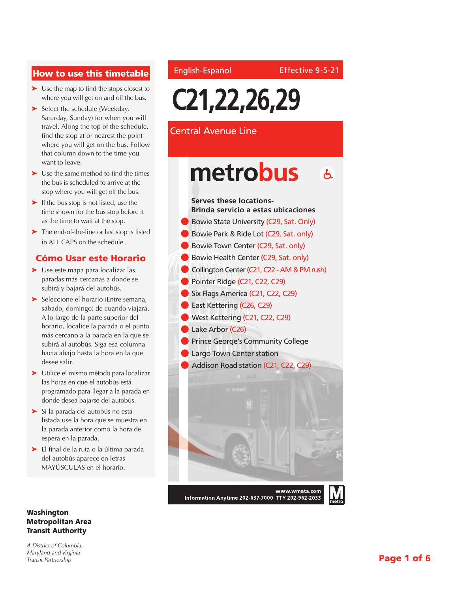#### How to use this timetable

- ➤ Use the map to find the stops closest to where you will get on and off the bus.
- ➤ Select the schedule (Weekday, Saturday, Sunday) for when you will travel. Along the top of the schedule, find the stop at or nearest the point where you will get on the bus. Follow that column down to the time you want to leave.
- ➤ Use the same method to find the times the bus is scheduled to arrive at the stop where you will get off the bus.
- ► If the bus stop is not listed, use the time shown for the bus stop before it as the time to wait at the stop.
- ➤ The end-of-the-line or last stop is listed in ALL CAPS on the schedule.

#### Cómo Usar este Horario

- ➤ Use este mapa para localizar las paradas más cercanas a donde se subirá y bajará del autobús.
- ➤ Seleccione el horario (Entre semana, sábado, domingo) de cuando viajará. A lo largo de la parte superior del horario, localice la parada o el punto más cercano a la parada en la que se subirá al autobús. Siga esa columna hacia abajo hasta la hora en la que desee salir.
- ➤ Utilice el mismo método para localizar las horas en que el autobús está programado para llegar a la parada en donde desea bajarse del autobús.
- ➤ Si la parada del autobús no está listada use la hora que se muestra en la parada anterior como la hora de espera en la parada.
- ➤ El final de la ruta o la última parada del autobús aparece en letras MAYÚSCULAS en el horario.

#### Washington Metropolitan Area Transit Authority

*A District of Columbia, Maryland and Virginia Transit Partnership*

#### English-Español

# **C21,22,26,29**

#### Central Avenue Line

# metrobus  $\mathbf{A}$

# **Serves these locations-Brinda servicio a estas ubicaciones** Bowie State University (C29, Sat. Only) Bowie Park & Ride Lot (C29, Sat. only) Bowie Town Center (C29, Sat. only) Bowie Health Center (C29, Sat. only) Collington Center (C21, C22 - AM & PM rush) Pointer Ridge (C21, C22, C29) Six Flags America (C21, C22, C29) **East Kettering (C26, C29)** West Kettering (C21, C22, C29) Lake Arbor (C26) **Prince George's Community College Largo Town Center station** Addison Road station (C21, C22, C29) www.wmata.com

Information Anytime 202-637-7000 TTY 202-962-2033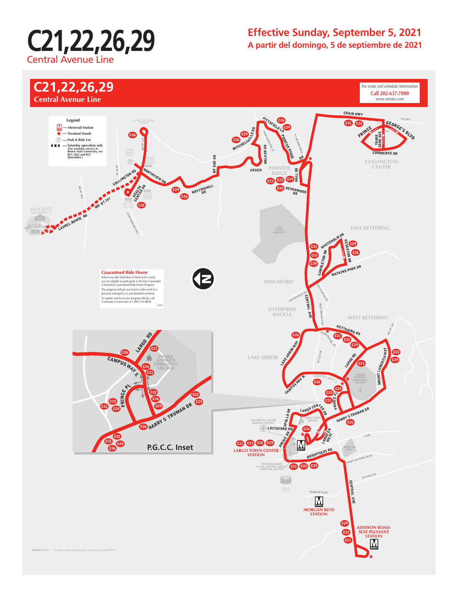

### **Effective Sunday, September 5, 2021 A partir del domingo, 5 de septiembre de 2021**

**C21,22,26,29** For route and schedule information **Call 202-637-7000 Central Avenue Line** www.wmata.com CRAIN HWY **Legend PITTSFIELD LA** GEORGE'S BLVD C26 C29 C22 C22  $M$ **— Metrorail Station** PRINCE MITCHELLY R POND MEADOW **— Terminal Stands** ZONE AVE C29 C26 POINTER RIDGE COMMERCE DR TRADE **—Park & Ride Lot** MD RT 197 C26 **ALC N —Saturday operation only (For weekday service to Bowie State University, see B21, B22 and B27 timetables.)** WALKER DR iy)<br>Q MT OAK RD DR **COLLINGTON CENTER** US RT 50 PEACH **POINTER**  NORTHVIEW DR DRHALL RD COLLINGTON RD **C21 C22 C29** NOTTINGHILL CENEALTH OF MD RT 450 C<sub>26</sub> DEVONWOOD C26 **MD RT 197** C26 **JOHN HANSON** LAUREL-BOWIE RD **M. L. K. JR. EAST KETTERING COMM. ARTS CTR.** WHITEHOLM DR KEVERTON DR C29 CAMBRIDGE DARK D C29 WATKINS PARK DR **Guaranteed Ride Home** When you take Metrobus or Metrorail to work, you are eligible to participate in the free Commuter Connection Guaranteed Ride Home Program. **KINGSFORD** CHESTERTON OR The program will get you home in the event of a personal emergency or unscheduled overtime. To register and to receive program details, call Commuter Connection at 1-800-745-RIDE. (2/97)ENTERPRISE RD WEST BRANCH DR **ENTERPRISE KNOLLS WEST KETTERING** MD RT 202 **ETTERING D** HERRINGTON LARGO RD C26 C21 C22 LAKE ARBOR WAY  $\phi_{\rho}$ C29 C21 MOUNT *LUBE<sub>NTIA WA*Y</sub> C22 CAMPUS WAY MD RT 214 **LAKE ARBOR LARGO RD PRINCE GEORGE'S**  C29 C21 **COMMUNITY**  C26 **COLLEGE** C21 CAMPUS WAYS CAMPUS WAY N. C26 PRINCE P C29 C22 C22 PRINCE P C<sub>26</sub> C<sub>22</sub> C21 C22 C29 **MEDICAL CENTER CENTER CENTER CENTER CENTER CENTER CENTER CENTER CENTER CENTER CENTER CENTER CENTER CENTER CENT** S TRUMAN DR  $C<sup>21</sup>$   $C<sup>29</sup>$ C29 LARGO CENTRA LOTTSFORD ARENA DR **UM CAPITAL REGION**  C26 C26 LARGO DR WEST I-495 C22 ARENA DR C21 C29 C29 C<sub>21</sub> C<sub>29</sub> **P.G.C.C. Inset BRIGHTSEAT RD HAMPTON MALL** C26 **LARGO TOWN CENTER**  HAMPTON PARK BLVD C<sub>21</sub> C<sub>22</sub> **THE BOULEVARD AT THE CAPITAL CENTER SHOPPING CENTER** C29 RITCHIE RD **CENTRAL** MORGAN BLVD  $\sum_{\rm{meta}}$ **MORGAN BLVD STATION** C29 **ADDISON ROAD-**C22 **SEAT PLEASANT STATION**  $C<sub>21</sub>$ **WMATA** ©2013 For information regarding this map contact <R•A•D•S>.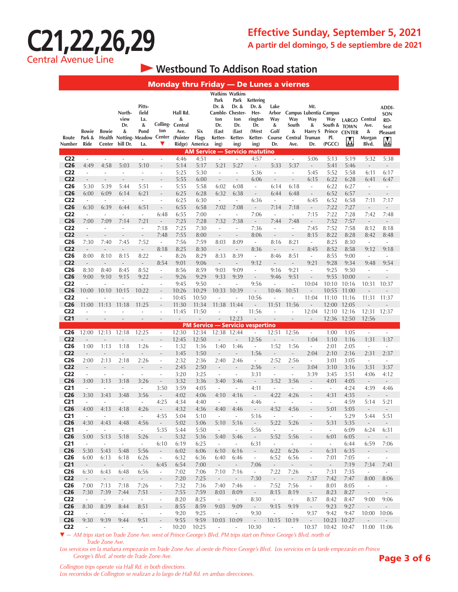# **C21,22,26,29** Central Avenue Line

### **Westbound To Addison Road station**

|                                    | <b>Monday thru Friday - De Lunes a viernes</b> |                                  |                                        |                                                                            |                                    |                                                       |                                       |                                                         |                                                                                                       |                                                                                                                   |                                                    |                                      |                                                                              |                                      |                                                           |                                         |                                                                            |
|------------------------------------|------------------------------------------------|----------------------------------|----------------------------------------|----------------------------------------------------------------------------|------------------------------------|-------------------------------------------------------|---------------------------------------|---------------------------------------------------------|-------------------------------------------------------------------------------------------------------|-------------------------------------------------------------------------------------------------------------------|----------------------------------------------------|--------------------------------------|------------------------------------------------------------------------------|--------------------------------------|-----------------------------------------------------------|-----------------------------------------|----------------------------------------------------------------------------|
| Route<br>Number                    | <b>Bowie</b><br>Park &<br>Ride                 | <b>Bowie</b><br>Center           | North-<br>view<br>Dr.<br>&<br>hill Dr. | Pitts-<br>field<br>La.<br>&<br>Pond<br>Health Notting-Meadow Center<br>La. | ton<br>v                           | Hall Rd.<br>&<br>Colling- Central<br>Ave.<br>(Pointer | Six<br><b>Flags</b><br>Ridge) America | Park<br>Dr. &<br>ton<br>Dr.<br>(East<br>Ketter-<br>ing) | <b>Watkins Watkins</b><br>Park<br>Dr. &<br>Camble- Chester-<br>ton<br>Dr.<br>(East<br>Ketter-<br>ing) | <b>Kettering</b><br>Dr. &<br>Her-<br>rington<br>Dr.<br>(West<br>Ketter-<br>ing)<br>AM Service — Servicio matutino | Lake<br>Arbor<br>Way<br>&<br>Golf<br>Course<br>Dr. | Way<br>South<br>&<br>Central<br>Ave. | Mt.<br>Campus Lubentia Campus<br>Way<br>&<br>Harry S<br><b>Truman</b><br>Dr. | Way<br>South & TOWN<br>PI.<br>(PGCC) | LARGO Central<br>Prince CENTER<br>$\overline{\mathsf{M}}$ | Ave.<br>&<br>Morgan<br>Blvd.            | ADDI-<br>SON<br>RD-<br><b>Seat</b><br>Pleasant<br>$\underline{\mathsf{M}}$ |
| C22                                | $\overline{\phantom{a}}$                       | ÷.                               | $\overline{\phantom{a}}$               | $\overline{\phantom{a}}$                                                   | ä,                                 | 4:46                                                  | 4:51                                  | ÷,                                                      | ÷,                                                                                                    | 4:57                                                                                                              | $\overline{\phantom{a}}$                           | $\overline{\phantom{a}}$             | 5:06                                                                         | 5:13                                 | 5:19                                                      | 5:32                                    | 5:38                                                                       |
| C <sub>26</sub>                    | 4:49                                           | 4:58                             | 5:03                                   | 5:10                                                                       | $\overline{a}$                     | 5:14                                                  | 5:17                                  | 5:21                                                    | 5:27                                                                                                  | $\overline{\phantom{a}}$                                                                                          | 5:33                                               | 5:37                                 | $\centerdot$                                                                 | 5:41                                 | 5:46                                                      | $\overline{a}$                          |                                                                            |
| C22                                | ÷,                                             | ÷,                               | J.                                     | $\overline{\phantom{a}}$                                                   | ä,                                 | 5:25                                                  | 5:30                                  | ÷,                                                      | ä,                                                                                                    | 5:36                                                                                                              | $\overline{\phantom{a}}$                           | ÷,                                   | 5:45                                                                         | 5:52                                 | 5:58                                                      | 6:11                                    | 6:17                                                                       |
| C <sub>22</sub>                    | $\overline{a}$                                 | $\overline{a}$                   | $\overline{a}$                         | $\overline{\phantom{a}}$                                                   | $\overline{\phantom{a}}$           | 5:55                                                  | 6:00                                  | $\frac{1}{2}$                                           | $\overline{\phantom{a}}$                                                                              | 6:06                                                                                                              | $\frac{1}{2}$                                      | $\frac{1}{2}$                        | 6:15                                                                         | 6:22                                 | 6:28                                                      | 6:41                                    | 6:47                                                                       |
| C26                                | 5:30                                           | 5:39                             | 5:44                                   | 5:51                                                                       | $\overline{\phantom{a}}$           | 5:55                                                  | 5:58                                  | 6:02                                                    | 6:08                                                                                                  | $\blacksquare$                                                                                                    | 6:14                                               | 6:18                                 | $\overline{\phantom{a}}$                                                     | 6:22                                 | 6:27                                                      | $\overline{\phantom{a}}$                | ÷                                                                          |
| C <sub>26</sub>                    | 6:00                                           | 6:09                             | 6:14                                   | 6:21                                                                       | $\overline{a}$                     | 6:25                                                  | 6:28                                  | 6:32                                                    | 6:38                                                                                                  | $\overline{\phantom{a}}$                                                                                          | 6:44                                               | 6:48                                 | $\overline{\phantom{a}}$                                                     | 6:52                                 | 6:57                                                      | $\overline{\phantom{a}}$                | $\frac{1}{2}$                                                              |
| C22                                | $\overline{\phantom{a}}$                       | $\overline{\phantom{a}}$         | $\overline{\phantom{a}}$               | $\overline{\phantom{a}}$                                                   | $\overline{\phantom{a}}$           | 6:25                                                  | 6:30                                  | $\blacksquare$                                          | $\overline{\phantom{a}}$                                                                              | 6:36                                                                                                              | $\overline{\phantom{a}}$                           | $\overline{\phantom{a}}$             | 6:45                                                                         | 6:52                                 | 6:58                                                      | 7:11                                    | 7:17                                                                       |
| C <sub>26</sub>                    | 6:30                                           | 6:39                             | 6:44                                   | 6:51                                                                       | $\qquad \qquad \blacksquare$       | 6:55                                                  | 6:58                                  | 7:02                                                    | 7:08                                                                                                  | $\overline{\phantom{a}}$                                                                                          | 7:14                                               | 7:18                                 | $\overline{\phantom{a}}$                                                     | 7:22                                 | 7:27                                                      | $\overline{\phantom{a}}$                | $\overline{\phantom{0}}$                                                   |
| C <sub>22</sub>                    | $\bar{a}$                                      | $\bar{a}$                        | ÷,                                     | $\overline{\phantom{a}}$                                                   | 6:48                               | 6:55                                                  | 7:00                                  | $\overline{\phantom{a}}$                                | $\overline{\phantom{a}}$                                                                              | 7:06                                                                                                              | ÷,                                                 | ÷,                                   | 7:15                                                                         | 7:22                                 | 7:28                                                      | 7:42                                    | 7:48                                                                       |
| C <sub>26</sub>                    | 7:00                                           | 7:09                             | 7:14                                   | 7:21                                                                       | $\overline{\phantom{a}}$           | 7:25                                                  | 7:28                                  | 7:32                                                    | 7:38                                                                                                  | $\overline{a}$                                                                                                    | 7:44                                               | 7:48                                 | $\overline{\phantom{a}}$                                                     | 7:52                                 | 7:57                                                      | $\qquad \qquad -$                       | $\bar{ }$                                                                  |
| C22<br>C <sub>22</sub>             | $\overline{\phantom{a}}$                       | $\overline{\phantom{a}}$         | ÷,                                     | $\overline{\phantom{a}}$                                                   | 7:18                               | 7:25                                                  | 7:30                                  | $\overline{\phantom{a}}$                                | ÷,                                                                                                    | 7:36                                                                                                              | ÷,                                                 | $\bar{a}$                            | 7:45                                                                         | 7:52                                 | 7:58<br>8:28                                              | 8:12                                    | 8:18                                                                       |
| C <sub>26</sub>                    | 7:30                                           | 7:40                             | 7:45                                   | 7:52                                                                       | 7:48<br>$\overline{\phantom{a}}$   | 7:55<br>7:56                                          | 8:00<br>7:59                          | 8:03                                                    | 8:09                                                                                                  | 8:06<br>$\overline{\phantom{a}}$                                                                                  | $\overline{a}$<br>8:16                             | 8:21                                 | 8:15<br>$\overline{\phantom{a}}$                                             | 8:22<br>8:25                         | 8:30                                                      | 8:42<br>$\overline{\phantom{a}}$        | 8:48<br>$\overline{\phantom{a}}$                                           |
| C <sub>22</sub>                    | $\overline{\phantom{a}}$                       | $\overline{\phantom{a}}$         | $\overline{\phantom{a}}$               | $\overline{\phantom{a}}$                                                   | 8:18                               | 8:25                                                  | 8:30                                  | $\overline{\phantom{a}}$                                | $\overline{\phantom{a}}$                                                                              | 8:36                                                                                                              | $\overline{\phantom{a}}$                           | $\overline{\phantom{a}}$             | 8:45                                                                         | 8:52                                 | 8:58                                                      | 9:12                                    | 9:18                                                                       |
| C <sub>26</sub>                    | 8:00                                           | 8:10                             | 8:15                                   | 8:22                                                                       | $\overline{\phantom{a}}$           | 8:26                                                  | 8:29                                  | 8:33                                                    | 8:39                                                                                                  | $\overline{\phantom{a}}$                                                                                          | 8:46                                               | 8:51                                 | $\overline{\phantom{a}}$                                                     | 8:55                                 | 9:00                                                      | $\frac{1}{2}$                           | ä,                                                                         |
| C <sub>22</sub>                    | $\overline{\phantom{a}}$                       | $\overline{\phantom{a}}$         | $\overline{\phantom{a}}$               | $\overline{\phantom{a}}$                                                   | 8:54                               | 9:01                                                  | 9:06                                  | $\overline{\phantom{a}}$                                | $\overline{\phantom{a}}$                                                                              | 9:12                                                                                                              | $\overline{\phantom{a}}$                           | $\overline{\phantom{a}}$             | 9:21                                                                         | 9:28                                 | 9:34                                                      | 9:48                                    | 9:54                                                                       |
| C26                                | 8:30                                           | 8:40                             | 8:45                                   | 8:52                                                                       | $\overline{\phantom{a}}$           | 8:56                                                  | 8:59                                  | 9:03                                                    | 9:09                                                                                                  | $\overline{\phantom{a}}$                                                                                          | 9:16                                               | 9:21                                 | $\overline{\phantom{a}}$                                                     | 9:25                                 | 9:30                                                      | ÷,                                      | ÷,                                                                         |
| C <sub>26</sub>                    | 9:00                                           | 9:10                             | 9:15                                   | 9:22                                                                       | $\overline{\phantom{a}}$           | 9:26                                                  | 9:29                                  | 9:33                                                    | 9:39                                                                                                  | $\qquad \qquad \blacksquare$                                                                                      | 9:46                                               | 9:51                                 | $\overline{a}$                                                               | 9:55                                 | 10:00                                                     |                                         |                                                                            |
| C <sub>22</sub>                    | ÷,                                             | ä,                               | ÷,                                     | ÷,                                                                         | ٠                                  | 9:45                                                  | 9:50                                  | ÷,                                                      | ä,                                                                                                    | 9:56                                                                                                              | ä,                                                 | ÷,                                   | 10:04                                                                        | 10:10                                | 10:16                                                     | 10:31                                   | 10:37                                                                      |
| C <sub>26</sub>                    | 10:00                                          | 10:10                            | 10:15                                  | 10:22                                                                      | $\overline{a}$                     | 10:26                                                 | 10:29                                 | 10:33                                                   | 10:39                                                                                                 |                                                                                                                   | 10:46                                              | 10:51                                |                                                                              | 10:55                                | 11:00                                                     |                                         |                                                                            |
| C22                                | L.                                             | ä,                               | ×.                                     | ÷.                                                                         | ä,                                 | 10:45                                                 | 10:50                                 | ä,                                                      | ä,                                                                                                    | 10:56                                                                                                             | ÷,                                                 | ä,                                   | 11:04                                                                        | 11:10                                | 11:16                                                     | 11:31                                   | 11:37                                                                      |
| C <sub>26</sub>                    | 11:00                                          | 11:13                            | 11:18                                  | 11:25                                                                      |                                    | 11:30                                                 | 11:34                                 | 11:38                                                   | 11:44                                                                                                 |                                                                                                                   | 11:51                                              | 11:56                                |                                                                              | 12:00                                | 12:05                                                     |                                         |                                                                            |
| C <sub>22</sub>                    |                                                |                                  |                                        |                                                                            | ä,                                 | 11:45                                                 | 11:50                                 |                                                         |                                                                                                       | 11:56                                                                                                             |                                                    |                                      | 12:04                                                                        | 12:10                                | 12:16                                                     | 12:31                                   | 12:37                                                                      |
| C <sub>21</sub>                    | $\overline{\phantom{a}}$                       | $\overline{\phantom{a}}$         | $\overline{\phantom{a}}$               | $\overline{\phantom{a}}$                                                   | $\overline{\phantom{a}}$           | $\overline{\phantom{a}}$                              | $\overline{a}$                        | $\overline{\phantom{a}}$                                | 12:23                                                                                                 | $\overline{a}$                                                                                                    | $\overline{a}$                                     | $\overline{\phantom{a}}$             | $\overline{a}$                                                               | 12:36                                | 12:50                                                     | 12:56                                   |                                                                            |
| C <sub>26</sub>                    | 12:00                                          | 12:13                            | 12:18                                  | 12:25                                                                      | $\Box$                             | 12:30                                                 | 12:34                                 | 12:38                                                   | 12:44                                                                                                 | PM Service — Servicio vespertino<br>÷,                                                                            | 12:51                                              | 12:56                                | $\Box$                                                                       | 1:00                                 | 1:05                                                      | $\overline{\phantom{a}}$                | $\overline{\phantom{a}}$                                                   |
| C <sub>22</sub>                    | $\overline{a}$                                 | $\qquad \qquad -$                | $\overline{a}$                         | $\overline{a}$                                                             | $\overline{a}$                     | 12:45                                                 | 12:50                                 | $\qquad \qquad -$                                       | $\overline{a}$                                                                                        | 12:56                                                                                                             | Ĭ.                                                 | $\overline{a}$                       | 1:04                                                                         | 1:10                                 | 1:16                                                      | 1:31                                    | 1:37                                                                       |
| C <sub>26</sub>                    | 1:00                                           | 1:13                             | 1:18                                   | 1:26                                                                       | $\overline{\phantom{a}}$           | 1:32                                                  | 1:36                                  | 1:40                                                    | 1:46                                                                                                  | ÷,                                                                                                                | 1:52                                               | 1:56                                 | $\overline{\phantom{a}}$                                                     | 2:01                                 | 2:05                                                      | $\overline{\phantom{a}}$                | ÷,                                                                         |
| C <sub>22</sub>                    | $\qquad \qquad -$                              | $\overline{a}$                   | $\overline{\phantom{a}}$               | $\overline{a}$                                                             | $\overline{\phantom{a}}$           | 1:45                                                  | 1:50                                  | $\overline{a}$                                          | $\overline{a}$                                                                                        | 1:56                                                                                                              | $\overline{a}$                                     | $\overline{a}$                       | 2:04                                                                         | 2:10                                 | 2:16                                                      | 2:31                                    | 2:37                                                                       |
| C26                                | 2:00                                           | 2:13                             | 2:18                                   | 2:26                                                                       | $\overline{\phantom{a}}$           | 2:32                                                  | 2:36                                  | 2:40                                                    | 2:46                                                                                                  | $\overline{\phantom{a}}$                                                                                          | 2:52                                               | 2:56                                 | $\overline{\phantom{a}}$                                                     | 3:01                                 | 3:05                                                      | ÷.                                      | ÷.                                                                         |
| C <sub>22</sub>                    | $\overline{a}$                                 | L,                               | L,                                     |                                                                            | $\qquad \qquad -$                  | 2:45                                                  | 2:50                                  | $\qquad \qquad -$                                       | $\overline{a}$                                                                                        | 2:56                                                                                                              | ÷,                                                 |                                      | 3:04                                                                         | 3:10                                 | 3:16                                                      | 3:31                                    | 3:37                                                                       |
| C <sub>22</sub>                    | $\overline{\phantom{a}}$                       | ä,                               | ä,                                     | ÷,                                                                         | ÷,                                 | 3:20                                                  | 3:25                                  | $\frac{1}{2}$                                           | $\overline{a}$                                                                                        | 3:31                                                                                                              | $\bar{a}$                                          | ÷,                                   | 3:39                                                                         | 3:45                                 | 3:51                                                      | 4:06                                    | 4:12                                                                       |
| C <sub>26</sub>                    | 3:00                                           | 3:13                             | 3:18                                   | 3:26                                                                       | $\overline{\phantom{a}}$           | 3:32                                                  | 3:36                                  | 3:40                                                    | 3:46                                                                                                  | $\overline{\phantom{a}}$                                                                                          | 3:52                                               | 3:56                                 | ÷,                                                                           | 4:01                                 | 4:05                                                      | $\blacksquare$                          | $\overline{\phantom{a}}$                                                   |
| C <sub>21</sub>                    | $\overline{\phantom{a}}$                       | ÷,                               | ÷,                                     | $\blacksquare$                                                             | 3:50                               | 3:59                                                  | 4:05                                  | $\overline{\phantom{a}}$                                | $\overline{\phantom{a}}$                                                                              | 4:11                                                                                                              | $\overline{\phantom{a}}$                           | $\overline{\phantom{a}}$             | ä,                                                                           | $\overline{\phantom{a}}$             | 4:24                                                      | 4:39                                    | 4:46                                                                       |
| C <sub>26</sub>                    | 3:30                                           | 3:43                             | 3:48                                   | 3:56                                                                       | $\overline{\phantom{a}}$           | 4:02                                                  | 4:06                                  | 4:10                                                    | 4:16                                                                                                  | $\overline{\phantom{a}}$                                                                                          | 4:22                                               | 4:26                                 |                                                                              | 4:31                                 | 4:35                                                      | $\overline{\phantom{a}}$                | $\overline{\phantom{a}}$                                                   |
| C <sub>21</sub>                    | $\overline{\phantom{a}}$                       | $\overline{\phantom{a}}$         | $\overline{\phantom{a}}$               | $\overline{\phantom{a}}$                                                   | 4:25                               | 4:34                                                  | 4:40                                  | $\overline{\phantom{a}}$                                | $\overline{\phantom{a}}$                                                                              | 4:46                                                                                                              | ÷,                                                 | $\overline{\phantom{a}}$             | ÷,                                                                           | $\overline{\phantom{a}}$             | 4:59                                                      | 5:14                                    | 5:21                                                                       |
| C26                                | 4:00                                           | 4:13                             | 4:18                                   | 4:26                                                                       | $\overline{\phantom{a}}$           | 4:32                                                  | 4:36                                  | 4:40                                                    | 4:46                                                                                                  |                                                                                                                   | 4:52                                               | 4:56                                 |                                                                              | 5:01                                 | 5:05                                                      | $\overline{\phantom{a}}$                | $\overline{\phantom{0}}$                                                   |
| C <sub>21</sub><br>C <sub>26</sub> | $\overline{\phantom{a}}$<br>4:30               | $\overline{\phantom{a}}$         | $\overline{\phantom{a}}$               | $\overline{\phantom{a}}$                                                   | 4:55                               | 5:04<br>5:02                                          | 5:10<br>5:06                          | $\overline{\phantom{a}}$                                | $\Box$<br>5:16                                                                                        | 5:16<br>÷.                                                                                                        | $\overline{\phantom{a}}$<br>5:22                   | $\Box$<br>5:26                       | $\overline{\phantom{a}}$                                                     | $\overline{\phantom{a}}$<br>5:31     | 5:29<br>5:35                                              | 5:44                                    | 5:51                                                                       |
| C <sub>21</sub>                    | $\overline{\phantom{a}}$                       | 4:43<br>$\overline{\phantom{a}}$ | 4:48<br>$\overline{\phantom{a}}$       | 4:56<br>$\sim$                                                             | $\overline{\phantom{a}}$<br>5:35   | 5:44                                                  | 5:50                                  | 5:10<br>$\sim$                                          | $\sim$                                                                                                | 5:56                                                                                                              | $\overline{\phantom{a}}$                           | $\overline{\phantom{a}}$             | $\overline{\phantom{a}}$<br>$\overline{\phantom{a}}$                         | $\sim$                               | 6:09                                                      | $\overline{\phantom{a}}$<br>6:24        | $\overline{\phantom{a}}$<br>6:31                                           |
| C <sub>26</sub>                    | 5:00                                           | 5:13                             | 5:18                                   | 5:26                                                                       | $\overline{\phantom{a}}$           | 5:32                                                  | 5:36                                  | 5:40                                                    | 5:46                                                                                                  | $\sim$                                                                                                            | 5:52                                               | 5:56                                 | $\overline{\phantom{a}}$                                                     | 6:01                                 | 6:05                                                      | $\overline{\phantom{a}}$                |                                                                            |
| C <sub>21</sub>                    | $\mathcal{L}_{\mathcal{A}}$                    | $\overline{\phantom{a}}$         | $\sim$                                 | $\mathcal{L}_{\mathcal{A}}$                                                | 6:10                               | 6:19                                                  | 6:25                                  | $\sim$                                                  | $\mathcal{L}_{\mathcal{A}}$                                                                           | 6:31                                                                                                              | $\overline{\phantom{a}}$                           | $\sim$                               | $\overline{\phantom{a}}$                                                     | $\sim$                               | 6:44                                                      | 6:59                                    | 7:06                                                                       |
| C <sub>26</sub>                    | 5:30                                           | 5:43                             | 5:48                                   | 5:56                                                                       | $\sim$                             | 6:02                                                  | 6:06                                  | 6:10                                                    | 6:16                                                                                                  | $\sim$                                                                                                            | 6:22                                               | 6:26                                 | $\frac{1}{2}$                                                                | 6:31                                 | 6:35                                                      | $\overline{\phantom{a}}$                | ÷,                                                                         |
| C <sub>26</sub>                    | 6:00                                           | 6:13                             | 6:18                                   | 6:26                                                                       | $\sim$                             | 6:32                                                  | 6:36                                  | 6:40                                                    | 6:46                                                                                                  | $\sim$                                                                                                            | 6:52                                               | 6:56                                 | $\Box$                                                                       | 7:01                                 | 7:05                                                      | $\overline{\phantom{a}}$                | ä,                                                                         |
| C <sub>21</sub>                    | $\sim$                                         | $\sim$                           | $\sim$                                 | $\sim$                                                                     | 6:45                               | 6:54                                                  | 7:00                                  | $\overline{\phantom{a}}$                                | $\sim$                                                                                                | 7:06                                                                                                              | $\overline{\phantom{a}}$                           | $\sim$                               | $\overline{\phantom{a}}$                                                     | $\sim$                               | 7:19                                                      | 7:34                                    | 7:41                                                                       |
| C <sub>26</sub>                    | 6:30                                           | 6:43                             | 6:48                                   | 6:56                                                                       | $\overline{\phantom{a}}$           | 7:02                                                  | 7:06                                  | 7:10                                                    | 7:16                                                                                                  | $\sim$                                                                                                            | 7:22                                               | 7:26                                 | $\overline{\phantom{a}}$                                                     | 7:31                                 | 7:35                                                      | $\overline{\phantom{a}}$                | $\overline{\phantom{a}}$                                                   |
| C <sub>22</sub>                    | $\overline{\phantom{a}}$                       | $\overline{\phantom{a}}$         | $\sim$                                 | $\omega_{\rm c}$                                                           | $\overline{\phantom{a}}$           | 7:20                                                  | 7:25                                  | $\overline{\phantom{a}}$                                | $\overline{\phantom{a}}$                                                                              | 7:30                                                                                                              | $\overline{\phantom{a}}$                           | $\sim$                               | 7:37                                                                         | 7:42                                 | 7:47                                                      | 8:00                                    | 8:06                                                                       |
| C <sub>26</sub>                    | 7:00                                           | 7:13                             | 7:18                                   | 7:26                                                                       | $\overline{\phantom{a}}$           | 7:32                                                  | 7:36                                  | 7:40                                                    | 7:46                                                                                                  | $\sim$                                                                                                            | 7:52                                               | 7:56                                 | $\overline{\phantom{a}}$                                                     | 8:01                                 | 8:05                                                      | $\overline{\phantom{a}}$                | $\overline{\phantom{a}}$                                                   |
| C <sub>26</sub>                    | 7:30                                           | 7:39                             | 7:44                                   | 7:51                                                                       | $\overline{\phantom{a}}$           | 7:55                                                  | 7:59                                  | 8:03                                                    | 8:09                                                                                                  | $\sim$                                                                                                            | 8:15                                               | 8:19                                 | $\overline{\phantom{a}}$                                                     | 8:23                                 | 8:27                                                      | $\overline{\phantom{a}}$                | $\overline{\phantom{a}}$                                                   |
| C <sub>22</sub>                    | $\mathcal{L}_{\mathcal{A}}$                    | $\sim$                           | $\sim$                                 | $\sim$                                                                     | $\overline{\phantom{a}}$           | 8:20                                                  | 8:25                                  | $\sim$                                                  | $\sim$                                                                                                | 8:30                                                                                                              | $\mathcal{L}_{\mathcal{A}}$                        | $\mathcal{L}_{\mathcal{A}}$          | 8:37                                                                         | 8:42                                 | 8:47                                                      | 9:00                                    | 9:06                                                                       |
| C <sub>26</sub><br>C <sub>22</sub> | 8:30<br>$\sim$                                 | 8:39<br>$\sim$                   | 8:44<br>$\overline{\phantom{a}}$       | 8:51<br>$\sim$                                                             | $\overline{\phantom{a}}$<br>$\Box$ | 8:55<br>9:20                                          | 8:59<br>9:25                          | 9:03<br>$\overline{\phantom{a}}$                        | 9:09<br>$\overline{\phantom{a}}$                                                                      | $\sim$<br>9:30                                                                                                    | 9:15<br>$\overline{\phantom{a}}$                   | 9:19<br>$\Box$                       | $\overline{\phantom{a}}$<br>9:37                                             | 9:23<br>9:42                         | 9:27<br>9:47                                              | $\overline{\phantom{a}}$<br>10:00 10:06 |                                                                            |
|                                    |                                                |                                  |                                        |                                                                            |                                    |                                                       |                                       |                                                         |                                                                                                       |                                                                                                                   |                                                    |                                      |                                                                              |                                      |                                                           |                                         |                                                                            |
| C <sub>26</sub>                    | 9:30                                           | 9:39                             | 9:44                                   | 9:51                                                                       | $\blacksquare$                     | 9:55                                                  | 9:59                                  | 10:03                                                   | 10:09                                                                                                 | $\triangle$                                                                                                       | 10:15                                              | 10:19                                | $\overline{\phantom{a}}$                                                     | 10:23                                | 10:27                                                     | $\overline{\phantom{a}}$                | $\overline{\phantom{a}}$                                                   |

▼ *— AM trips start on Trade Zone Ave. west of Prince George's Blvd. PM trips start on Prince George's Blvd. north of Trade Zone Ave.*

*Los servicios en la mañana empezarán en Trade Zone Ave. al oeste de Prince George's Blvd. Los servicios en la tarde empezarán en Prince George's Blvd. al norte de Trade Zone Ave.*

Page 3 of 6

*Collington trips operate via Hall Rd. in both directions.*

*Los recorridos de Collington se realizan a lo largo de Hall Rd. en ambas direcciones.*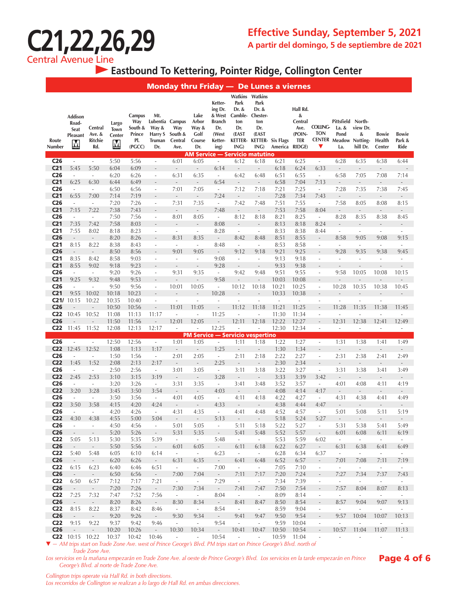# **C21,22,26,29** Central Avenue Line

**Eastbound To Kettering, Pointer Ridge, Collington Center** 

|                                    | Monday thru Friday - De Lunes a viernes              |                                                      |                                     |                                                                                                                                 |                                               |                                                      |                                                 |                                                                           |                                                                           |                                                                             |                                            |                                                   |                                                      |                                                                              |                                      |                                      |                                   |
|------------------------------------|------------------------------------------------------|------------------------------------------------------|-------------------------------------|---------------------------------------------------------------------------------------------------------------------------------|-----------------------------------------------|------------------------------------------------------|-------------------------------------------------|---------------------------------------------------------------------------|---------------------------------------------------------------------------|-----------------------------------------------------------------------------|--------------------------------------------|---------------------------------------------------|------------------------------------------------------|------------------------------------------------------------------------------|--------------------------------------|--------------------------------------|-----------------------------------|
| Route<br>Number                    | <b>Addison</b><br>Road-<br>Seat<br>Pleasant<br>M     | Central<br>Ave. $&$<br>Ritchie<br>Rd.                | Largo<br>Town<br>Center<br>$\bf{M}$ | Campus<br>Way<br>South &<br>Prince<br>PI.<br>(PGCC)                                                                             | Mt.<br>Way &<br>Harry S<br>Truman<br>Dr.      | Lubentia Campus<br>Way<br>South &<br>Central<br>Ave. | Lake<br>Arbor<br>Way &<br>Golf<br>Course<br>Dr. | Ketter-<br>ing Dr.<br>& West<br>Branch<br>Dr.<br>(West<br>Ketter-<br>ing) | Park<br>Dr. &<br>Camble-<br>ton<br>Dr.<br>(EAST<br><b>KETTER-</b><br>ING) | Watkins Watkins<br>Park<br>Dr. &<br>Chester-<br>ton<br>Dr.<br>(EAST<br>ING) | <b>KETTER-</b> Six Flags<br>America RIDGE) | Hall Rd.<br>&<br>Central<br>Ave.<br>(POIN-<br>TER | <b>COLLING-</b><br><b>TON</b><br>v                   | Pittsfield North-<br>La. $&$<br>Pond<br><b>CENTER Meadow Notting-</b><br>La. | view Dr.<br>&<br>hill Dr.            | Bowie<br>Health<br>Center            | Bowie<br>Park &<br>Ride           |
| C <sub>26</sub>                    | ÷,                                                   | $\blacksquare$                                       | 5:50                                | 5:56                                                                                                                            | $\overline{\phantom{a}}$                      | 6:01                                                 | 6:05                                            | <b>AM Service - Servicio matutino</b><br>$\overline{\phantom{a}}$         | 6:12                                                                      | 6:18                                                                        | 6:21                                       | 6:25                                              | $\overline{\phantom{a}}$                             | 6:28                                                                         | 6:35                                 | 6:38                                 | 6:44                              |
| C <sub>21</sub>                    | 5:45                                                 | 5:50                                                 | 6:04                                | 6:09                                                                                                                            | $\qquad \qquad \blacksquare$                  | $\overline{\phantom{a}}$                             | $\overline{\phantom{a}}$                        | 6:14                                                                      | $\overline{\phantom{a}}$                                                  | $\overline{\phantom{a}}$                                                    | 6:18                                       | 6:24                                              | 6:33                                                 | $\overline{\phantom{a}}$                                                     | $\overline{\phantom{a}}$             | $\overline{\phantom{a}}$             | $\overline{\phantom{a}}$          |
| C <sub>26</sub>                    | $\overline{\phantom{a}}$                             | $\overline{\phantom{a}}$                             | 6:20                                | 6:26                                                                                                                            | $\overline{\phantom{a}}$                      | 6:31                                                 | 6:35                                            | $\overline{\phantom{a}}$                                                  | 6:42                                                                      | 6:48                                                                        | 6:51                                       | 6:55                                              | $\overline{\phantom{a}}$                             | 6:58                                                                         | 7:05                                 | 7:08                                 | 7:14                              |
| C <sub>21</sub><br>C <sub>26</sub> | 6:25<br>$\overline{\phantom{a}}$                     | 6:30<br>$\overline{\phantom{a}}$                     | 6:44<br>6:50                        | 6:49<br>6:56                                                                                                                    | $\overline{\phantom{a}}$                      | $\overline{\phantom{a}}$<br>7:01                     | $\overline{\phantom{a}}$<br>7:05                | 6:54<br>$\overline{\phantom{a}}$                                          | $\overline{\phantom{a}}$<br>7:12                                          | $\overline{\phantom{a}}$<br>7:18                                            | 6:58<br>7:21                               | 7:04<br>7:25                                      | 7:13<br>$\overline{\phantom{a}}$                     | 7:28                                                                         | 7:35                                 | 7:38                                 | 7:45                              |
| C <sub>21</sub>                    | 6:55                                                 | 7:00                                                 | 7:14                                | 7:19                                                                                                                            | L,                                            | $\overline{\phantom{a}}$                             | $\overline{\phantom{a}}$                        | 7:24                                                                      | $\overline{\phantom{a}}$                                                  | $\overline{\phantom{a}}$                                                    | 7:28                                       | 7:34                                              | 7:43                                                 | $\overline{\phantom{a}}$                                                     | $\overline{\phantom{a}}$             | $\overline{\phantom{a}}$             | $\overline{\phantom{a}}$          |
| C <sub>26</sub>                    | $\overline{\phantom{a}}$                             | $\overline{\phantom{a}}$                             | 7:20                                | 7:26                                                                                                                            | $\overline{\phantom{a}}$                      | 7:31                                                 | 7:35                                            | $\overline{\phantom{a}}$                                                  | 7:42                                                                      | 7:48                                                                        | 7:51                                       | 7:55                                              | $\overline{\phantom{a}}$                             | 7:58                                                                         | 8:05                                 | 8:08                                 | 8:15                              |
| C <sub>21</sub>                    | 7:15                                                 | 7:22                                                 | 7:38                                | 7:43                                                                                                                            | $\qquad \qquad -$                             | $\overline{\phantom{a}}$                             | $\overline{\phantom{a}}$                        | 7:48                                                                      | $\overline{\phantom{a}}$                                                  | $\overline{\phantom{a}}$                                                    | 7:53                                       | 7:58                                              | 8:04                                                 | $\overline{\phantom{a}}$                                                     | $\overline{\phantom{a}}$             | $\overline{\phantom{a}}$             | $\frac{1}{2}$                     |
| C <sub>26</sub><br>C <sub>21</sub> | $\Box$<br>7:35                                       | $\overline{\phantom{a}}$<br>7:42                     | 7:50<br>7:58                        | 7:56<br>8:03                                                                                                                    | $\overline{\phantom{a}}$<br>$\qquad \qquad -$ | 8:01<br>$\frac{1}{2}$                                | 8:05<br>$\overline{a}$                          | $\overline{\phantom{a}}$<br>8:08                                          | 8:12<br>$\overline{\phantom{a}}$                                          | 8:18<br>$\overline{\phantom{a}}$                                            | 8:21<br>8:13                               | 8:25<br>8:18                                      | $\overline{\phantom{a}}$<br>8:24                     | 8:28<br>$\qquad \qquad \blacksquare$                                         | 8:35<br>$\qquad \qquad \blacksquare$ | 8:38<br>$\qquad \qquad \blacksquare$ | 8:45<br>$\overline{\phantom{0}}$  |
| C <sub>21</sub>                    | 7:55                                                 | 8:02                                                 | 8:18                                | 8:23                                                                                                                            | ٠                                             | $\overline{\phantom{a}}$                             | $\overline{\phantom{a}}$                        | 8:28                                                                      | $\overline{\phantom{a}}$                                                  | $\overline{\phantom{a}}$                                                    | 8:33                                       | 8:38                                              | 8:44                                                 | $\overline{\phantom{a}}$                                                     | ×.                                   | ÷.                                   | $\overline{\phantom{a}}$          |
| C <sub>26</sub>                    | $\overline{\phantom{a}}$                             | $\overline{\phantom{a}}$                             | 8:20                                | 8:26                                                                                                                            | $\overline{\phantom{a}}$                      | 8:31                                                 | 8:35                                            | $\overline{\phantom{a}}$                                                  | 8:42                                                                      | 8:48                                                                        | 8:51                                       | 8:55                                              | $\overline{\phantom{a}}$                             | 8:58                                                                         | 9:05                                 | 9:08                                 | 9:15                              |
| C <sub>21</sub>                    | 8:15                                                 | 8:22                                                 | 8:38                                | 8:43                                                                                                                            | $\overline{\phantom{a}}$                      | $\overline{\phantom{a}}$                             | $\overline{\phantom{a}}$                        | 8:48                                                                      | $\overline{\phantom{a}}$                                                  | $\overline{\phantom{a}}$                                                    | 8:53                                       | 8:58                                              | $\overline{\phantom{a}}$                             | $\overline{\phantom{a}}$                                                     | $\overline{\phantom{a}}$             | $\overline{\phantom{a}}$             | $\overline{\phantom{0}}$          |
| C <sub>26</sub><br>C <sub>21</sub> | $\overline{\phantom{a}}$<br>8:35                     | $\overline{\phantom{a}}$<br>8:42                     | 8:50<br>8:58                        | 8:56<br>9:03                                                                                                                    | $\bar{a}$<br>÷,                               | 9:01<br>$\overline{\phantom{a}}$                     | 9:05<br>$\bar{a}$                               | $\overline{\phantom{a}}$<br>9:08                                          | 9:12<br>$\overline{\phantom{a}}$                                          | 9:18<br>$\overline{\phantom{a}}$                                            | 9:21<br>9:13                               | 9:25<br>9:18                                      | ä,                                                   | 9:28<br>÷,                                                                   | 9:35<br>÷,                           | 9:38<br>÷,                           | 9:45<br>$\overline{a}$            |
| C <sub>21</sub>                    | 8:55                                                 | 9:02                                                 | 9:18                                | 9:23                                                                                                                            | $\overline{a}$                                | $\overline{\phantom{a}}$                             | $\overline{\phantom{a}}$                        | 9:28                                                                      | $\overline{\phantom{a}}$                                                  | $\overline{\phantom{a}}$                                                    | 9:33                                       | 9:38                                              |                                                      | $\overline{\phantom{a}}$                                                     |                                      | $\qquad \qquad -$                    | $\overline{a}$                    |
| C <sub>26</sub>                    | $\overline{\phantom{a}}$                             | $\Box$                                               | 9:20                                | 9:26                                                                                                                            | $\overline{\phantom{a}}$                      | 9:31                                                 | 9:35                                            | $\overline{\phantom{a}}$                                                  | 9:42                                                                      | 9:48                                                                        | 9:51                                       | 9:55                                              | $\overline{\phantom{a}}$                             | 9:58                                                                         | 10:05                                | 10:08                                | 10:15                             |
| C <sub>21</sub>                    | 9:25                                                 | 9:32                                                 | 9:48                                | 9:53                                                                                                                            |                                               | $\overline{\phantom{a}}$                             | $\blacksquare$                                  | 9:58                                                                      | $\frac{1}{2}$                                                             | $\overline{\phantom{a}}$                                                    | 10:03                                      | 10:08                                             |                                                      | $\qquad \qquad -$                                                            | $\overline{\phantom{a}}$             | $\frac{1}{2}$                        | L,                                |
| C <sub>26</sub><br>C <sub>21</sub> | $\overline{\phantom{a}}$<br>9:55                     | $\overline{\phantom{a}}$<br>10:02                    | 9:50<br>10:18                       | 9:56<br>10:23                                                                                                                   | $\overline{\phantom{a}}$                      | 10:01                                                | 10:05                                           | $\overline{\phantom{a}}$<br>10:28                                         | 10:12                                                                     | 10:18                                                                       | 10:21<br>10:33                             | 10:25<br>10:38                                    | $\overline{\phantom{a}}$                             | 10:28                                                                        | 10:35                                | 10:38<br>$\overline{a}$              | 10:45                             |
|                                    | C21/ 10:15                                           | 10:22                                                | 10:35                               | 10:40                                                                                                                           | ÷.                                            | ÷,                                                   | $\overline{\phantom{a}}$                        | ÷,                                                                        | ÷,                                                                        | ä,                                                                          | ÷,                                         | $\blacksquare$                                    | $\sim$                                               | $\overline{\phantom{a}}$                                                     | ٠                                    | ÷.                                   |                                   |
| C <sub>26</sub>                    | $\overline{a}$                                       | $\overline{a}$                                       | 10:50                               | 10:56                                                                                                                           | $\overline{\phantom{0}}$                      | 11:01                                                | 11:05                                           | $\overline{\phantom{a}}$                                                  | 11:12                                                                     | 11:18                                                                       | 11:21                                      | 11:25                                             |                                                      | 11:28                                                                        | 11:35                                | 11:38                                | 11:45                             |
| C22                                | 10:45                                                | 10:52                                                | 11:08                               | 11:13                                                                                                                           | 11:17                                         | $\blacksquare$                                       | $\overline{\phantom{a}}$                        | 11:25                                                                     | ÷                                                                         | ÷,                                                                          | 11:30                                      | 11:34                                             | ä,                                                   | ä,                                                                           | ä,                                   | $\overline{\phantom{a}}$             | L,                                |
| C <sub>26</sub><br>C <sub>22</sub> | 11:45                                                | 11:52                                                | 11:50<br>12:08                      | 11:56<br>12:13                                                                                                                  | $\overline{\phantom{a}}$<br>12:17             | 12:01<br>$\blacksquare$                              | 12:05<br>÷,                                     | 12:25                                                                     | 12:11<br>÷,                                                               | 12:18<br>÷,                                                                 | 12:22<br>12:30                             | 12:27<br>12:34                                    | $\overline{\phantom{a}}$                             | 12:31<br>$\overline{\phantom{a}}$                                            | 12:38<br>$\overline{\phantom{a}}$    | 12:41<br>$\blacksquare$              | 12:49<br>÷,                       |
|                                    |                                                      |                                                      |                                     |                                                                                                                                 |                                               |                                                      |                                                 | <b>PM Service - Servicio vespertino</b>                                   |                                                                           |                                                                             |                                            |                                                   |                                                      |                                                                              |                                      |                                      |                                   |
| C <sub>26</sub>                    | $\overline{\phantom{a}}$                             | $\Box$                                               | 12:50                               | 12:56                                                                                                                           | $\omega$                                      | 1:01                                                 | 1:05                                            | $\overline{\phantom{a}}$                                                  | 1:11                                                                      | 1:18                                                                        | 1:22                                       | 1:27                                              | $\overline{\phantom{a}}$                             | 1:31                                                                         | 1:38                                 | 1:41                                 | 1:49                              |
| C <sub>22</sub>                    | 12:45                                                | 12:52                                                | 1:08                                | 1:13                                                                                                                            | 1:17                                          | $\overline{\phantom{a}}$                             | $\overline{\phantom{a}}$                        | 1:25                                                                      | $\overline{\phantom{a}}$                                                  | $\overline{\phantom{a}}$                                                    | 1:30                                       | 1:34                                              |                                                      | $\overline{\phantom{a}}$                                                     | $\overline{\phantom{a}}$             | $\qquad \qquad -$                    | $\overline{\phantom{a}}$          |
| C <sub>26</sub><br>C <sub>22</sub> | $\overline{\phantom{a}}$<br>1:45                     | $\overline{\phantom{a}}$<br>1:52                     | 1:50<br>2:08                        | 1:56<br>2:13                                                                                                                    | $\overline{\phantom{a}}$<br>2:17              | 2:01<br>$\overline{\phantom{a}}$                     | 2:05<br>$\overline{\phantom{a}}$                | $\overline{\phantom{a}}$<br>2:25                                          | 2:11<br>$\overline{\phantom{a}}$                                          | 2:18<br>$\overline{\phantom{a}}$                                            | 2:22<br>2:30                               | 2:27<br>2:34                                      | $\overline{\phantom{a}}$<br>$\overline{\phantom{a}}$ | 2:31<br>$\overline{\phantom{a}}$                                             | 2:38<br>$\overline{\phantom{a}}$     | 2:41<br>$\overline{\phantom{a}}$     | 2:49<br>$\overline{\phantom{0}}$  |
| C <sub>26</sub>                    | $\sim$                                               | $\overline{\phantom{a}}$                             | 2:50                                | 2:56                                                                                                                            | $\sim$                                        | 3:01                                                 | 3:05                                            | $\overline{\phantom{a}}$                                                  | 3:11                                                                      | 3:18                                                                        | 3:22                                       | 3:27                                              | $\overline{\phantom{a}}$                             | 3:31                                                                         | 3:38                                 | 3:41                                 | 3:49                              |
| C <sub>22</sub>                    | 2:45                                                 | 2:53                                                 | 3:10                                | 3:15                                                                                                                            | 3:19                                          | $\overline{\phantom{a}}$                             | $\overline{\phantom{a}}$                        | 3:28                                                                      | $\overline{\phantom{a}}$                                                  | $\overline{\phantom{a}}$                                                    | 3:33                                       | 3:39                                              | 3:42                                                 | $\overline{\phantom{a}}$                                                     |                                      |                                      |                                   |
| C <sub>26</sub>                    | $\overline{\phantom{a}}$                             | $\overline{\phantom{a}}$                             | 3:20                                | 3:26                                                                                                                            | $\overline{\phantom{a}}$                      | 3:31                                                 | 3:35                                            | $\overline{\phantom{a}}$                                                  | 3:41                                                                      | 3:48                                                                        | 3:52                                       | 3:57                                              | $\overline{\phantom{a}}$                             | 4:01                                                                         | 4:08                                 | 4:11                                 | 4:19                              |
| C <sub>22</sub><br>C <sub>26</sub> | 3:20<br>$\overline{\phantom{a}}$                     | 3:28<br>$\overline{\phantom{a}}$                     | 3:45<br>3:50                        | 3:50<br>3:56                                                                                                                    | 3:54<br>$\sim$                                | $\overline{\phantom{a}}$<br>4:01                     | $\overline{\phantom{a}}$<br>4:05                | 4:03<br>$\overline{\phantom{a}}$                                          | $\overline{\phantom{a}}$<br>4:11                                          | $\overline{\phantom{a}}$<br>4:18                                            | 4:08<br>4:22                               | 4:14<br>4:27                                      | 4:17<br>$\sim$                                       | 4:31                                                                         | 4:38                                 | 4:41                                 | 4:49                              |
| C <sub>22</sub>                    | 3:50                                                 | 3:58                                                 | 4:15                                | 4:20                                                                                                                            | 4:24                                          | $\overline{\phantom{a}}$                             | $\overline{\phantom{a}}$                        | 4:33                                                                      | $\overline{\phantom{a}}$                                                  | $\blacksquare$                                                              | 4:38                                       | 4:44                                              | 4:47                                                 | $\overline{\phantom{0}}$                                                     | $\overline{\phantom{a}}$             | $\overline{\phantom{a}}$             | ۰.                                |
| C <sub>26</sub>                    | $\overline{\phantom{a}}$                             | $\frac{1}{2}$                                        | 4:20                                | 4:26                                                                                                                            | $\overline{\phantom{a}}$                      | 4:31                                                 | 4:35                                            | $\overline{\phantom{a}}$                                                  | 4:41                                                                      | 4:48                                                                        | 4:52                                       | 4:57                                              | $\overline{\phantom{a}}$                             | 5:01                                                                         | 5:08                                 | 5:11                                 | 5:19                              |
| C <sub>22</sub><br>C <sub>26</sub> | 4:30                                                 | 4:38                                                 | 4:55                                | 5:00                                                                                                                            | 5:04                                          | $\bar{\phantom{a}}$<br>5:01                          | $\omega_{\rm c}$                                | 5:13                                                                      | $\overline{\phantom{a}}$                                                  | $\mathcal{L}_{\mathcal{A}}$                                                 | 5:18<br>5:22                               | 5:24                                              | 5:27                                                 | $\sim$                                                                       | $\sim$<br>5:38                       | $\overline{\phantom{a}}$             | $\blacksquare$                    |
| C <sub>26</sub>                    | $\overline{\phantom{a}}$<br>$\overline{\phantom{a}}$ | $\overline{\phantom{a}}$<br>$\overline{\phantom{a}}$ | 4:50<br>5:20                        | 4:56<br>5:26                                                                                                                    | $\sim$<br>$\sim$                              | 5:31                                                 | 5:05<br>5:35                                    | $\overline{\phantom{a}}$<br>$\overline{\phantom{a}}$                      | 5:11<br>5:41                                                              | 5:18<br>5:48                                                                | 5:52                                       | 5:27<br>5:57                                      | $\sim$<br>$\sim$                                     | 5:31<br>6:01                                                                 | 6:08                                 | 5:41<br>6:11                         | 5:49<br>6:19                      |
| C <sub>22</sub>                    | 5:05                                                 | 5:13                                                 | 5:30                                | 5:35                                                                                                                            | 5:39                                          | $\sim$                                               | $\sim$                                          | 5:48                                                                      | $\overline{\phantom{a}}$                                                  | $\sim$                                                                      | 5:53                                       | 5:59                                              | 6:02                                                 | $\sim$                                                                       | $\sim$                               | $\sim$                               | $\sim$                            |
| C <sub>26</sub>                    | $\overline{\phantom{a}}$                             | $\overline{\phantom{a}}$                             | 5:50                                | 5:56                                                                                                                            | $\sim$                                        | 6:01                                                 | 6:05                                            | $\sim$                                                                    | 6:11                                                                      | 6:18                                                                        | 6:22                                       | 6:27                                              | $\sim$                                               | 6:31                                                                         | 6:38                                 | 6:41                                 | 6:49                              |
| C <sub>22</sub><br>C <sub>26</sub> | 5:40<br>$\sim$                                       | 5:48<br>$\sim$                                       | 6:05                                | 6:10                                                                                                                            | 6:14                                          | $\sim$                                               | $\sim$                                          | 6:23<br>$\sim$                                                            | $\overline{\phantom{a}}$                                                  | $\sim$                                                                      | 6:28                                       | 6:34                                              | 6:37                                                 | $\mathcal{L}_{\mathcal{A}}$                                                  | $\sim$                               | $\mathcal{L}_{\mathcal{A}}$          | $\sim$<br>7:19                    |
| C <sub>22</sub>                    | 6:15                                                 | 6:23                                                 | 6:20<br>6:40                        | 6:26<br>6:46                                                                                                                    | $\sim$<br>6:51                                | 6:31<br>$\omega$                                     | 6:35<br>$\sim$                                  | 7:00                                                                      | 6:41<br>$\sim$                                                            | 6:48<br>$\sim$                                                              | 6:52<br>7:05                               | 6:57<br>7:10                                      | $\sim$<br>$\overline{\phantom{a}}$                   | 7:01<br>$\overline{\phantom{a}}$                                             | 7:08<br>$\sim$                       | 7:11<br>$\overline{\phantom{a}}$     | $\overline{\phantom{a}}$          |
| C <sub>26</sub>                    | $\sim$                                               | $\mathcal{L}_{\mathcal{A}}$                          | 6:50                                | 6:56                                                                                                                            | $\sim$                                        | 7:00                                                 | 7:04                                            | $\sim$                                                                    | 7:11                                                                      | 7:17                                                                        | 7:20                                       | 7:24                                              | $\overline{\phantom{a}}$                             | 7:27                                                                         | 7:34                                 | 7:37                                 | 7:43                              |
| C <sub>22</sub>                    | 6:50                                                 | 6:57                                                 | 7:12                                | 7:17                                                                                                                            | 7:21                                          | $\sim$                                               | $\sim$                                          | 7:29                                                                      | $\overline{\phantom{a}}$                                                  | $\sim$                                                                      | 7:34                                       | 7:39                                              | $\overline{\phantom{a}}$                             | $\sim$                                                                       | $\sim$                               | $\overline{\phantom{a}}$             | $\sim$                            |
| C <sub>26</sub><br>C <sub>22</sub> | $\overline{\phantom{a}}$<br>7:25                     | $\sim$                                               | 7:20                                | 7:26                                                                                                                            | $\sim$                                        | 7:30                                                 | 7:34<br>$\sim$                                  | $\sim$                                                                    | 7:41                                                                      | 7:47                                                                        | 7:50                                       | 7:54                                              | $\overline{\phantom{a}}$                             | 7:57                                                                         | 8:04<br>$\mathcal{L}_{\mathcal{A}}$  | 8:07                                 | 8:13                              |
| C <sub>26</sub>                    | $\overline{\phantom{a}}$                             | 7:32<br>$\sim$                                       | 7:47<br>8:20                        | 7:52<br>8:26                                                                                                                    | 7:56<br>$\sim$                                | $\sim$<br>8:30                                       | 8:34                                            | 8:04<br>$\sim$                                                            | $\overline{\phantom{a}}$<br>8:41                                          | $\mathcal{L}_{\mathcal{A}}$<br>8:47                                         | 8:09<br>8:50                               | 8:14<br>8:54                                      | $\overline{\phantom{a}}$<br>$\overline{\phantom{a}}$ | $\overline{\phantom{a}}$<br>8:57                                             | 9:04                                 | $\overline{\phantom{a}}$<br>9:07     | $\sim$<br>9:13                    |
| C <sub>22</sub>                    | 8:15                                                 | 8:22                                                 | 8:37                                | 8:42                                                                                                                            | 8:46                                          | $\sim$                                               | $\sim$                                          | 8:54                                                                      | $\overline{\phantom{a}}$                                                  | $\sim$                                                                      | 8:59                                       | 9:04                                              | $\overline{\phantom{a}}$                             | $\overline{\phantom{a}}$                                                     | $\mathcal{L}^{\mathcal{L}}$          | $\overline{\phantom{a}}$             | $\overline{\phantom{a}}$          |
| C <sub>26</sub>                    | $\overline{\phantom{a}}$                             | $\overline{\phantom{a}}$                             | 9:20                                | 9:26                                                                                                                            | $\sim$                                        | 9:30                                                 | 9:34                                            | $\overline{\phantom{a}}$                                                  | 9:41                                                                      | 9:47                                                                        | 9:50                                       | 9:54                                              | $\overline{\phantom{a}}$                             | 9:57                                                                         | 10:04                                | 10:07                                | 10:13                             |
| C <sub>22</sub><br>C <sub>26</sub> | 9:15                                                 | 9:22                                                 | 9:37                                | 9:42                                                                                                                            | 9:46                                          | $\sim$                                               | $\mathcal{L}_{\mathcal{A}}$<br>10:34            | 9:54                                                                      | $\overline{\phantom{a}}$                                                  | $\overline{\phantom{a}}$                                                    | 9:59                                       | 10:04                                             | $\blacksquare$                                       | $\overline{\phantom{a}}$                                                     | $\overline{\phantom{a}}$             | $\overline{\phantom{a}}$             | $\overline{\phantom{a}}$          |
|                                    | $\overline{\phantom{a}}$<br><b>C22</b> 10:15 10:22   | $\sim$                                               | 10:20<br>10:37                      | 10:26<br>10:42                                                                                                                  | $\sim$<br>10:46                               | 10:30<br>$\overline{\phantom{a}}$                    | $\sim$                                          | $\sim$<br>10:54                                                           | 10:41<br>$\overline{\phantom{a}}$                                         | 10:47<br>$\overline{\phantom{a}}$                                           | 10:50<br>10:59                             | 10:54<br>11:04                                    | $\overline{\phantom{a}}$<br>÷,                       | 10:57<br>$\overline{\phantom{a}}$                                            | 11:04<br>$\overline{\phantom{a}}$    | 11:07<br>$\overline{\phantom{a}}$    | 11:13<br>$\overline{\phantom{a}}$ |
|                                    |                                                      |                                                      |                                     | $\blacksquare$ AM tring start on Trade Zone Ave, west of Prince Ceorge's Rhyd, PM tring start on Prince Ceorge's Rhyd, porth of |                                               |                                                      |                                                 |                                                                           |                                                                           |                                                                             |                                            |                                                   |                                                      |                                                                              |                                      |                                      |                                   |

*AM trips start on Trade Zone Ave. west of Prince George's Blvd. PM trips start on Prince George's Blvd. north of Trade Zone Ave.*

*Los servicios en la mañana empezarán en Trade Zone Ave. al oeste de Prince George's Blvd. Los servicios en la tarde empezarán en Prince George's Blvd. al norte de Trade Zone Ave.*

Page 4 of 6

*Los recorridos de Collington se realizan a lo largo de Hall Rd. en ambas direcciones.*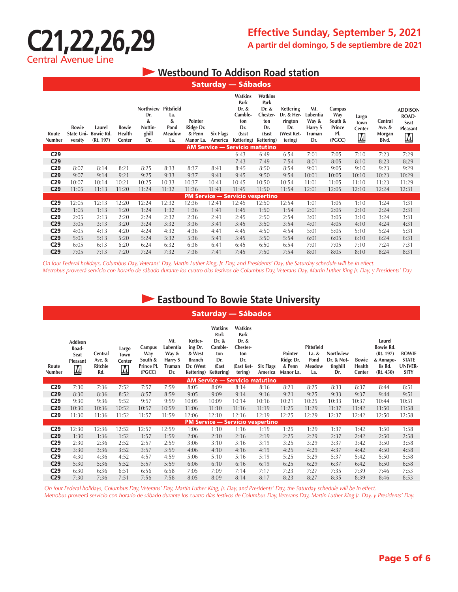# **C21,22,26,29** Central Avenue Line

## **Effective Sunday, September 5, 2021 A partir del domingo, 5 de septiembre de 2021**

### **• Westbound To Addison Road station**

|                        |                                       |                                         |                                  |                                                             |                                   |                                             |                          | <b>Saturday — Sábados</b>                                                |                                                                                   |                                                                           |                                                             |                                                     |                                                           |                                        |                                                                               |
|------------------------|---------------------------------------|-----------------------------------------|----------------------------------|-------------------------------------------------------------|-----------------------------------|---------------------------------------------|--------------------------|--------------------------------------------------------------------------|-----------------------------------------------------------------------------------|---------------------------------------------------------------------------|-------------------------------------------------------------|-----------------------------------------------------|-----------------------------------------------------------|----------------------------------------|-------------------------------------------------------------------------------|
| Route<br><b>Number</b> | <b>Bowie</b><br>State Uni-<br>versity | Laurel<br><b>Bowie Rd.</b><br>(Rt. 197) | <b>Bowie</b><br>Health<br>Center | Northview Pittsfield<br>Dr.<br>&<br>Nottin-<br>ghill<br>Dr. | La.<br>&<br>Pond<br>Meadow<br>La. | Pointer<br>Ridge Dr.<br>& Penn<br>Manor La. | Six Flags<br>America     | Watkins<br>Park<br>Dr. &<br>Camble-<br>ton<br>Dr.<br>(East<br>Kettering) | Watkins<br>Park<br>Dr. &<br>Chester-<br>ton<br>Dr.<br>(East<br><b>Kettering</b> ) | <b>Kettering</b><br>Dr. & Her-<br>rington<br>Dr.<br>(West Ket-<br>tering) | Mt.<br>Lubentia<br>Way &<br>Harry S<br><b>Truman</b><br>Dr. | Campus<br>Way<br>South &<br>Prince<br>PI.<br>(PGCC) | Largo<br><b>Town</b><br>Center<br>$\overline{\mathsf{M}}$ | Central<br>Ave. $&$<br>Morgan<br>Blvd. | <b>ADDISON</b><br>ROAD-<br><b>Seat</b><br>Pleasant<br>$\overline{\mathsf{M}}$ |
|                        |                                       |                                         |                                  |                                                             |                                   |                                             |                          | <b>AM Service — Servicio matutino</b>                                    |                                                                                   |                                                                           |                                                             |                                                     |                                                           |                                        |                                                                               |
| C <sub>29</sub>        | ٠                                     |                                         |                                  |                                                             |                                   |                                             |                          | 6:43                                                                     | 6:49                                                                              | 6:54                                                                      | 7:01                                                        | 7:05                                                | 7:10                                                      | 7:23                                   | 7:29                                                                          |
| C <sub>29</sub>        | $\overline{\phantom{a}}$              |                                         | ٠                                | $\overline{\phantom{a}}$                                    | $\qquad \qquad \blacksquare$      |                                             | $\overline{\phantom{a}}$ | 7:43                                                                     | 7:49                                                                              | 7:54                                                                      | 8:01                                                        | 8:05                                                | 8:10                                                      | 8:23                                   | 8:29                                                                          |
| C <sub>29</sub>        | 8:07                                  | 8:14                                    | 8:21                             | 8:25                                                        | 8:33                              | 8:37                                        | 8:41                     | 8:45                                                                     | 8:50                                                                              | 8:54                                                                      | 9:01                                                        | 9:05                                                | 9:10                                                      | 9:23                                   | 9:29                                                                          |
| C <sub>29</sub>        | 9:07                                  | 9:14                                    | 9:21                             | 9:25                                                        | 9:33                              | 9:37                                        | 9:41                     | 9:45                                                                     | 9:50                                                                              | 9:54                                                                      | 10:01                                                       | 10:05                                               | 10:10                                                     | 10:23                                  | 10:29                                                                         |
| C <sub>29</sub>        | 10:07                                 | 10:14                                   | 10:21                            | 10:25                                                       | 10:33                             | 10:37                                       | 10:41                    | 10:45                                                                    | 10:50                                                                             | 10:54                                                                     | 11:01                                                       | 11:05                                               | 11:10                                                     | 11:23                                  | 11:29                                                                         |
| C <sub>29</sub>        | 11:05                                 | 11:13                                   | 11:20                            | 11:24                                                       | 11:32                             | 11:36                                       | 11:41                    | 11:45                                                                    | 11:50                                                                             | 11:54                                                                     | 12:01                                                       | 12:05                                               | 12:10                                                     | 12:24                                  | 12:31                                                                         |
|                        |                                       |                                         |                                  |                                                             |                                   |                                             |                          | <b>PM Service - Servicio vespertino</b>                                  |                                                                                   |                                                                           |                                                             |                                                     |                                                           |                                        |                                                                               |
| C <sub>29</sub>        | 12:05                                 | 12:13                                   | 12:20                            | 12:24                                                       | 12:32                             | 12:36                                       | 12:41                    | 12:45                                                                    | 12:50                                                                             | 12:54                                                                     | 1:01                                                        | 1:05                                                | 1:10                                                      | 1:24                                   | 1:31                                                                          |
| C <sub>29</sub>        | 1:05                                  | 1:13                                    | 1:20                             | 1:24                                                        | 1:32                              | 1:36                                        | 1:41                     | 1:45                                                                     | 1:50                                                                              | 1:54                                                                      | 2:01                                                        | 2:05                                                | 2:10                                                      | 2:24                                   | 2:31                                                                          |
| C <sub>29</sub>        | 2:05                                  | 2:13                                    | 2:20                             | 2:24                                                        | 2:32                              | 2:36                                        | 2:41                     | 2:45                                                                     | 2:50                                                                              | 2:54                                                                      | 3:01                                                        | 3:05                                                | 3:10                                                      | 3:24                                   | 3:31                                                                          |
| C <sub>29</sub>        | 3:05                                  | 3:13                                    | 3:20                             | 3:24                                                        | 3:32                              | 3:36                                        | 3:41                     | 3:45                                                                     | 3:50                                                                              | 3:54                                                                      | 4:01                                                        | 4:05                                                | 4:10                                                      | 4:24                                   | 4:31                                                                          |
| C <sub>29</sub>        | 4:05                                  | 4:13                                    | 4:20                             | 4:24                                                        | 4:32                              | 4:36                                        | 4:41                     | 4:45                                                                     | 4:50                                                                              | 4:54                                                                      | 5:01                                                        | 5:05                                                | 5:10                                                      | 5:24                                   | 5:31                                                                          |
| C <sub>29</sub>        | 5:05                                  | 5:13                                    | 5:20                             | 5:24                                                        | 5:32                              | 5:36                                        | 5:41                     | 5:45                                                                     | 5:50                                                                              | 5:54                                                                      | 6:01                                                        | 6:05                                                | 6:10                                                      | 6:24                                   | 6:31                                                                          |
| C <sub>29</sub>        | 6:05                                  | 6:13                                    | 6:20                             | 6:24                                                        | 6:32                              | 6:36                                        | 6:41                     | 6:45                                                                     | 6:50                                                                              | 6:54                                                                      | 7:01                                                        | 7:05                                                | 7:10                                                      | 7:24                                   | 7:31                                                                          |
| C <sub>29</sub>        | 7:05                                  | 7:13                                    | 7:20                             | 7:24                                                        | 7:32                              | 7:36                                        | 7:41                     | 7:45                                                                     | 7:50                                                                              | 7:54                                                                      | 8:01                                                        | 8:05                                                | 8:10                                                      | 8:24                                   | 8:31                                                                          |

*On four Federal holidays, Columbus Day, Veterans' Day, Martin Luther King, Jr. Day, and Presidents' Day, the Saturday schedule will be in effect. Metrobus proveerá servicio con horario de sábado durante los cuatro días festivos de Columbus Day, Veterans Day, Martin Luther King Jr. Day, y Presidents' Day.*

# **Eastbound To Bowie State University**

#### Saturday — Sábados

| Route<br>Number | Addison<br>Road-<br>Seat<br>Pleasant<br>$\overline{\mathsf{M}}$ | Central<br>Ave. $&$<br>Ritchie<br>Rd. | Largo<br>Town<br>Center<br>M | Campus<br>Way<br>South &<br>Prince Pl.<br>(PGCC) | Mt.<br>Lubentia<br>Way &<br>Harry S<br><b>Truman</b><br>Dr. | Ketter-<br>ing Dr.<br>& West<br><b>Branch</b><br>Dr. (West | Watkins<br>Park<br>Dr. &<br>Camble-<br>ton<br>Dr.<br>(East<br>Kettering) Kettering) | Watkins<br>Park<br>Dr. &<br><b>Chester-</b><br>ton<br>Dr.<br>(East Ket-<br>tering) | Six Flags<br>America | Pointer<br>Ridge Dr.<br>& Penn<br>Manor La. | Pittsfield<br>La. $&$<br>Pond<br>Meadow<br>La. | <b>Northview</b><br>Dr. & Not-<br>tinghill<br>Dr. | <b>Bowie</b><br>Health<br>Center | Laurel<br><b>Bowie Rd.</b><br>(Rt. 197)<br>& Annapo-<br>lis Rd.<br>(Rt. 450) | <b>BOWIE</b><br><b>STATE</b><br>UNIVER-<br><b>SITY</b> |
|-----------------|-----------------------------------------------------------------|---------------------------------------|------------------------------|--------------------------------------------------|-------------------------------------------------------------|------------------------------------------------------------|-------------------------------------------------------------------------------------|------------------------------------------------------------------------------------|----------------------|---------------------------------------------|------------------------------------------------|---------------------------------------------------|----------------------------------|------------------------------------------------------------------------------|--------------------------------------------------------|
|                 | <b>AM Service - Servicio matutino</b>                           |                                       |                              |                                                  |                                                             |                                                            |                                                                                     |                                                                                    |                      |                                             |                                                |                                                   |                                  |                                                                              |                                                        |
| C <sub>29</sub> | 7:30                                                            | 7:36                                  | 7:52                         | 7:57                                             | 7:59                                                        | 8:05                                                       | 8:09                                                                                | 8:14                                                                               | 8:16                 | 8:21                                        | 8:25                                           | 8:33                                              | 8:37                             | 8:44                                                                         | 8:51                                                   |
| C <sub>29</sub> | 8:30                                                            | 8:36                                  | 8:52                         | 8:57                                             | 8:59                                                        | 9:05                                                       | 9:09                                                                                | 9:14                                                                               | 9:16                 | 9:21                                        | 9:25                                           | 9:33                                              | 9:37                             | 9:44                                                                         | 9:51                                                   |
| C <sub>29</sub> | 9:30                                                            | 9:36                                  | 9:52                         | 9:57                                             | 9:59                                                        | 10:05                                                      | 10:09                                                                               | 10:14                                                                              | 10:16                | 10:21                                       | 10:25                                          | 10:33                                             | 10:37                            | 10:44                                                                        | 10:51                                                  |
| C <sub>29</sub> | 10:30                                                           | 10:36                                 | 10:52                        | 10:57                                            | 10:59                                                       | 11:06                                                      | 11:10                                                                               | 11:16                                                                              | 11:19                | 11:25                                       | 11:29                                          | 11:37                                             | 11:42                            | 11:50                                                                        | 11:58                                                  |
| C29             | 11:30                                                           | 11:36                                 | 11:52                        | 11:57                                            | 11:59                                                       | 12:06                                                      | 12:10                                                                               | 12:16                                                                              | 12:19                | 12:25                                       | 12:29                                          | 12:37                                             | 12:42                            | 12:50                                                                        | 12:58                                                  |
|                 |                                                                 |                                       |                              |                                                  |                                                             |                                                            | <b>PM Service - Servicio vespertino</b>                                             |                                                                                    |                      |                                             |                                                |                                                   |                                  |                                                                              |                                                        |
| C <sub>29</sub> | 12:30                                                           | 12:36                                 | 12:52                        | 12:57                                            | 12:59                                                       | 1:06                                                       | 1:10                                                                                | 1:16                                                                               | 1:19                 | 1:25                                        | 1:29                                           | 1:37                                              | 1:42                             | 1:50                                                                         | 1:58                                                   |
| C <sub>29</sub> | 1:30                                                            | 1:36                                  | 1:52                         | 1:57                                             | 1:59                                                        | 2:06                                                       | 2:10                                                                                | 2:16                                                                               | 2:19                 | 2:25                                        | 2:29                                           | 2:37                                              | 2:42                             | 2:50                                                                         | 2:58                                                   |
| C29             | 2:30                                                            | 2:36                                  | 2:52                         | 2:57                                             | 2:59                                                        | 3:06                                                       | 3:10                                                                                | 3:16                                                                               | 3:19                 | 3:25                                        | 3:29                                           | 3:37                                              | 3:42                             | 3:50                                                                         | 3:58                                                   |
| C <sub>29</sub> | 3:30                                                            | 3:36                                  | 3:52                         | 3:57                                             | 3:59                                                        | 4:06                                                       | 4:10                                                                                | 4:16                                                                               | 4:19                 | 4:25                                        | 4:29                                           | 4:37                                              | 4:42                             | 4:50                                                                         | 4:58                                                   |
| C <sub>29</sub> | 4:30                                                            | 4:36                                  | 4:52                         | 4:57                                             | 4:59                                                        | 5:06                                                       | 5:10                                                                                | 5:16                                                                               | 5:19                 | 5:25                                        | 5:29                                           | 5:37                                              | 5:42                             | 5:50                                                                         | 5:58                                                   |
| C <sub>29</sub> | 5:30                                                            | 5:36                                  | 5:52                         | 5:57                                             | 5:59                                                        | 6:06                                                       | 6:10                                                                                | 6:16                                                                               | 6:19                 | 6:25                                        | 6:29                                           | 6:37                                              | 6:42                             | 6:50                                                                         | 6:58                                                   |
| C29             | 6:30                                                            | 6:36                                  | 6:51                         | 6:56                                             | 6:58                                                        | 7:05                                                       | 7:09                                                                                | 7:14                                                                               | 7:17                 | 7:23                                        | 7:27                                           | 7:35                                              | 7:39                             | 7:46                                                                         | 7:53                                                   |
| C <sub>29</sub> | 7:30                                                            | 7:36                                  | 7:51                         | 7:56                                             | 7:58                                                        | 8:05                                                       | 8:09                                                                                | 8:14                                                                               | 8:17                 | 8:23                                        | 8:27                                           | 8:35                                              | 8:39                             | 8:46                                                                         | 8:53                                                   |

*On four Federal holidays, Columbus Day, Veterans' Day, Martin Luther King, Jr. Day, and Presidents' Day, the Saturday schedule will be in effect. Metrobus proveerá servicio con horario de sábado durante los cuatro días festivos de Columbus Day, Veterans Day, Martin Luther King Jr. Day, y Presidents' Day.*